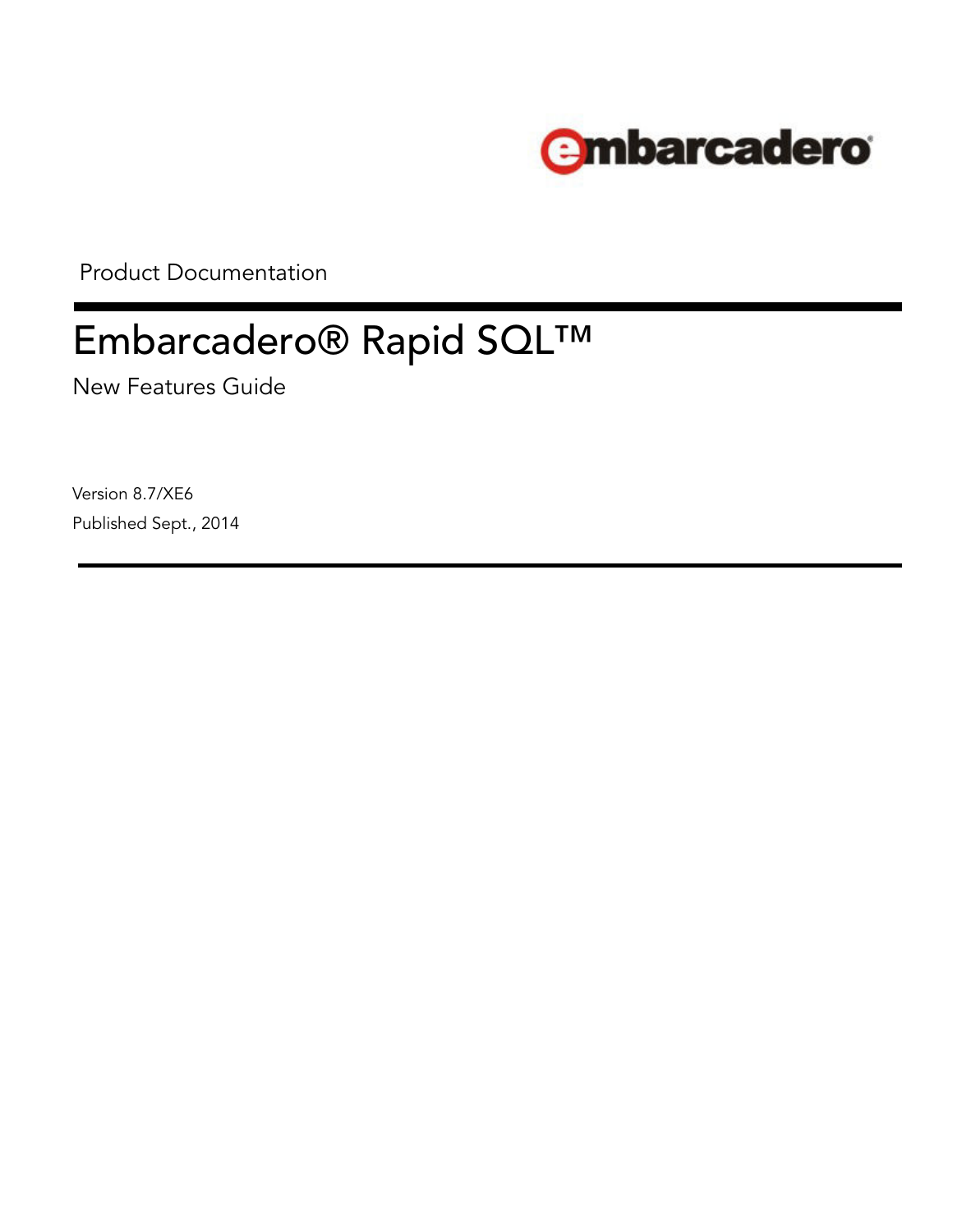

Product Documentation

# Embarcadero® Rapid SQL™

New Features Guide

Version 8.7/XE6 Published Sept., 2014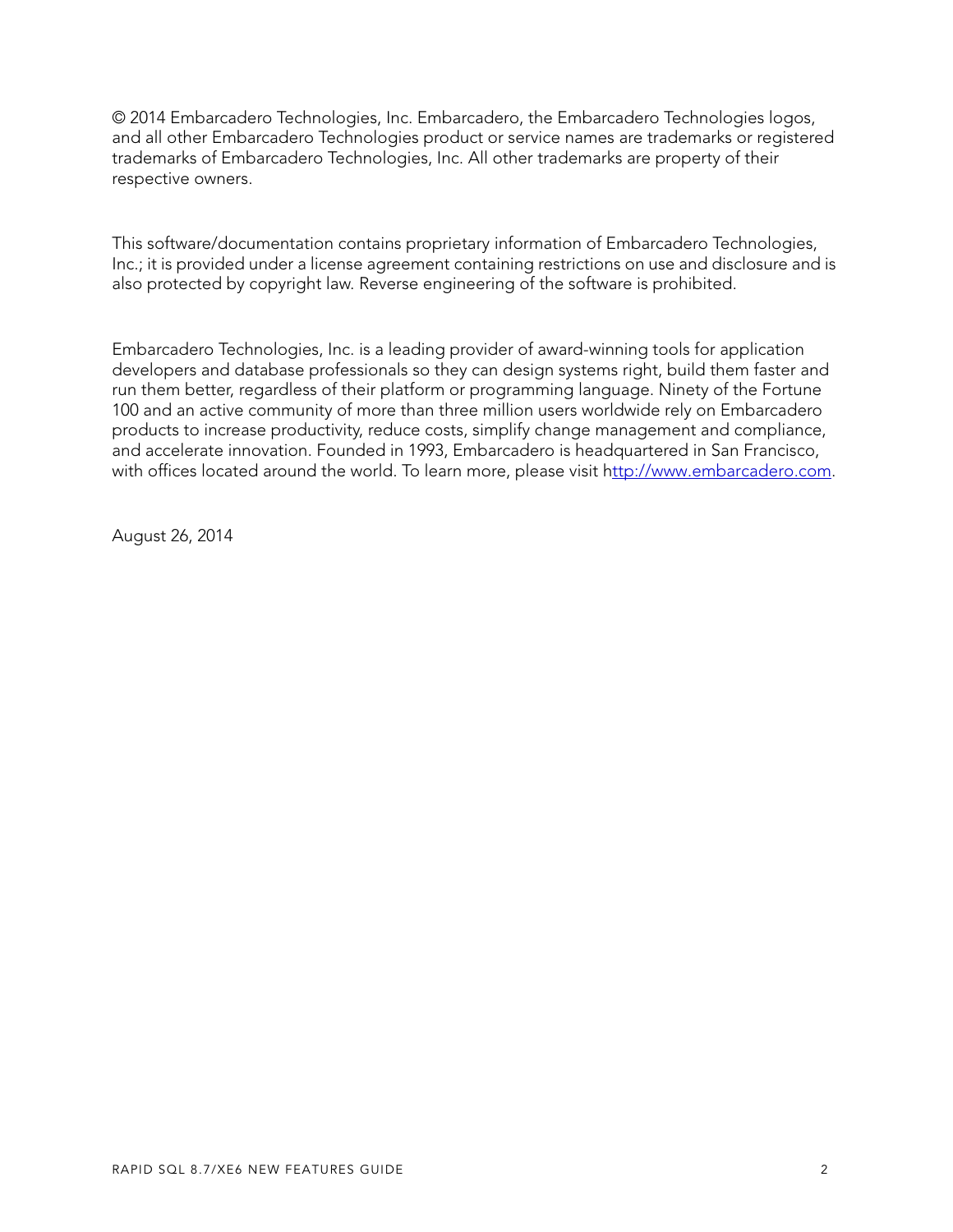© 2014 Embarcadero Technologies, Inc. Embarcadero, the Embarcadero Technologies logos, and all other Embarcadero Technologies product or service names are trademarks or registered trademarks of Embarcadero Technologies, Inc. All other trademarks are property of their respective owners.

This software/documentation contains proprietary information of Embarcadero Technologies, Inc.; it is provided under a license agreement containing restrictions on use and disclosure and is also protected by copyright law. Reverse engineering of the software is prohibited.

Embarcadero Technologies, Inc. is a leading provider of award-winning tools for application developers and database professionals so they can design systems right, build them faster and run them better, regardless of their platform or programming language. Ninety of the Fortune 100 and an active community of more than three million users worldwide rely on Embarcadero products to increase productivity, reduce costs, simplify change management and compliance, and accelerate innovation. Founded in 1993, Embarcadero is headquartered in San Francisco, with offices located around the world. To learn more, please visit h[ttp://www.embarcadero.com](http://www.embarcadero.com).

August 26, 2014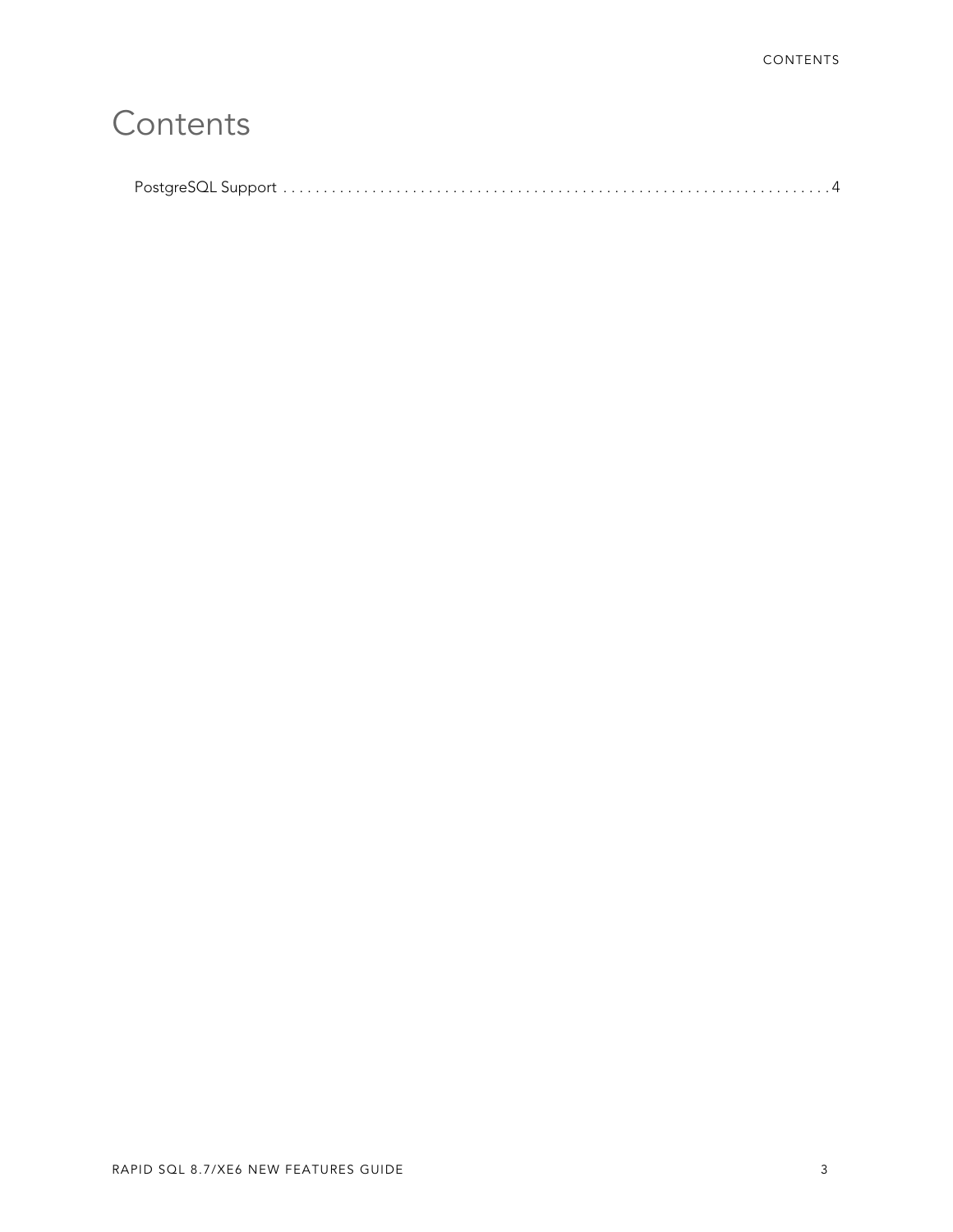## **[Contents](#page-3-0)**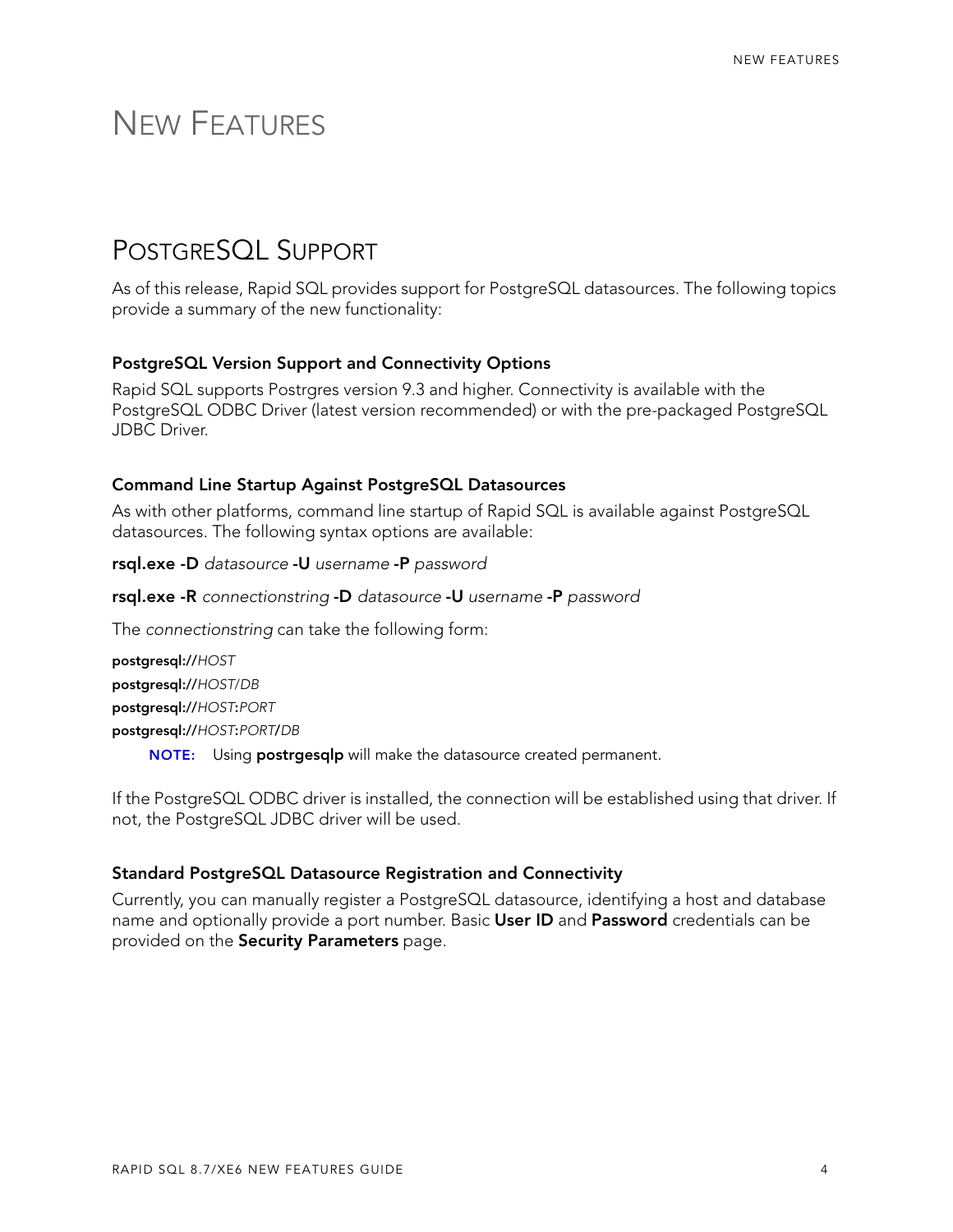### <span id="page-3-0"></span>NEW FEATURES

### <span id="page-3-1"></span>POSTGRESQL SUPPORT

As of this release, Rapid SQL provides support for PostgreSQL datasources. The following topics provide a summary of the new functionality:

#### **PostgreSQL Version Support and Connectivity Options**

Rapid SQL supports Postrgres version 9.3 and higher. Connectivity is available with the PostgreSQL ODBC Driver (latest version recommended) or with the pre-packaged PostgreSQL JDBC Driver.

#### **Command Line Startup Against PostgreSQL Datasources**

As with other platforms, command line startup of Rapid SQL is available against PostgreSQL datasources. The following syntax options are available:

- **rsql.exe -D** *datasource* **-U** *username* **-P** *password*
- **rsql.exe -R** *connectionstring* **-D** *datasource* **-U** *username* **-P** *password*

The *connectionstring* can take the following form:

**postgresql://***HOST* **postgresql://***HOST*/*DB* **postgresql://***HOST***:***PORT* **postgresql://***HOST***:***PORT***/***DB* **NOTE:** Using **postrgesqlp** will make the datasource created permanent.

If the PostgreSQL ODBC driver is installed, the connection will be established using that driver. If not, the PostgreSQL JDBC driver will be used.

#### **Standard PostgreSQL Datasource Registration and Connectivity**

Currently, you can manually register a PostgreSQL datasource, identifying a host and database name and optionally provide a port number. Basic **User ID** and **Password** credentials can be provided on the **Security Parameters** page.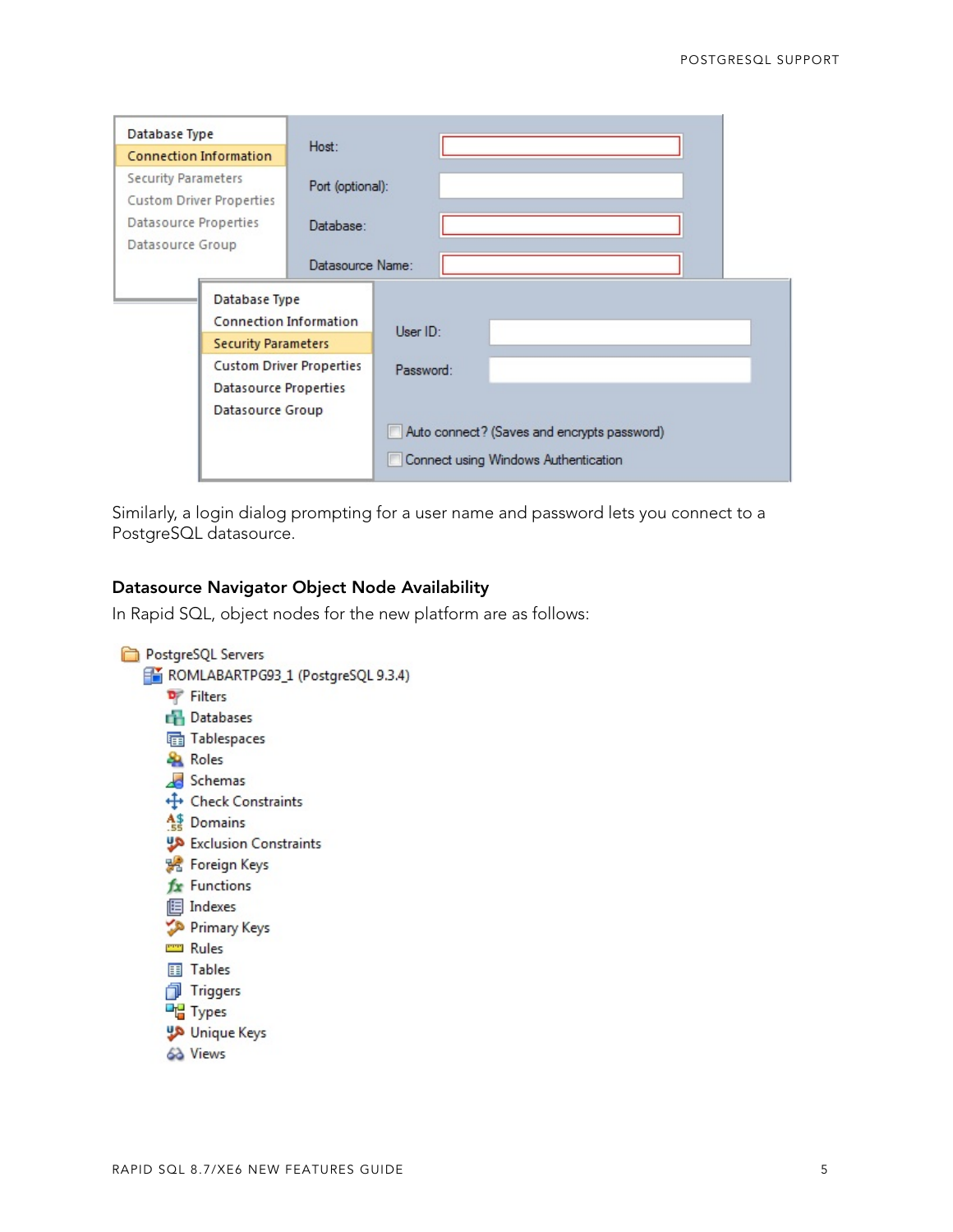| Database Type                                                                                                                     |                                      | Host:                                       |           |  |  |  |  |
|-----------------------------------------------------------------------------------------------------------------------------------|--------------------------------------|---------------------------------------------|-----------|--|--|--|--|
| <b>Connection Information</b>                                                                                                     |                                      |                                             |           |  |  |  |  |
| <b>Security Parameters</b><br><b>Custom Driver Properties</b>                                                                     |                                      | Port (optional):                            |           |  |  |  |  |
| Datasource Properties<br>Datasource Group                                                                                         |                                      | Database:                                   |           |  |  |  |  |
|                                                                                                                                   |                                      | Datasource Name:                            |           |  |  |  |  |
| Database Type<br>Connection Information<br><b>Security Parameters</b><br><b>Custom Driver Properties</b><br>Datasource Properties |                                      |                                             |           |  |  |  |  |
|                                                                                                                                   |                                      |                                             | User ID:  |  |  |  |  |
|                                                                                                                                   |                                      |                                             |           |  |  |  |  |
|                                                                                                                                   |                                      |                                             | Password: |  |  |  |  |
|                                                                                                                                   |                                      |                                             |           |  |  |  |  |
|                                                                                                                                   | Datasource Group                     |                                             |           |  |  |  |  |
|                                                                                                                                   |                                      | Auto connect? (Saves and encrypts password) |           |  |  |  |  |
|                                                                                                                                   | Connect using Windows Authentication |                                             |           |  |  |  |  |

Similarly, a login dialog prompting for a user name and password lets you connect to a PostgreSQL datasource.

#### **Datasource Navigator Object Node Availability**

In Rapid SQL, object nodes for the new platform are as follows: